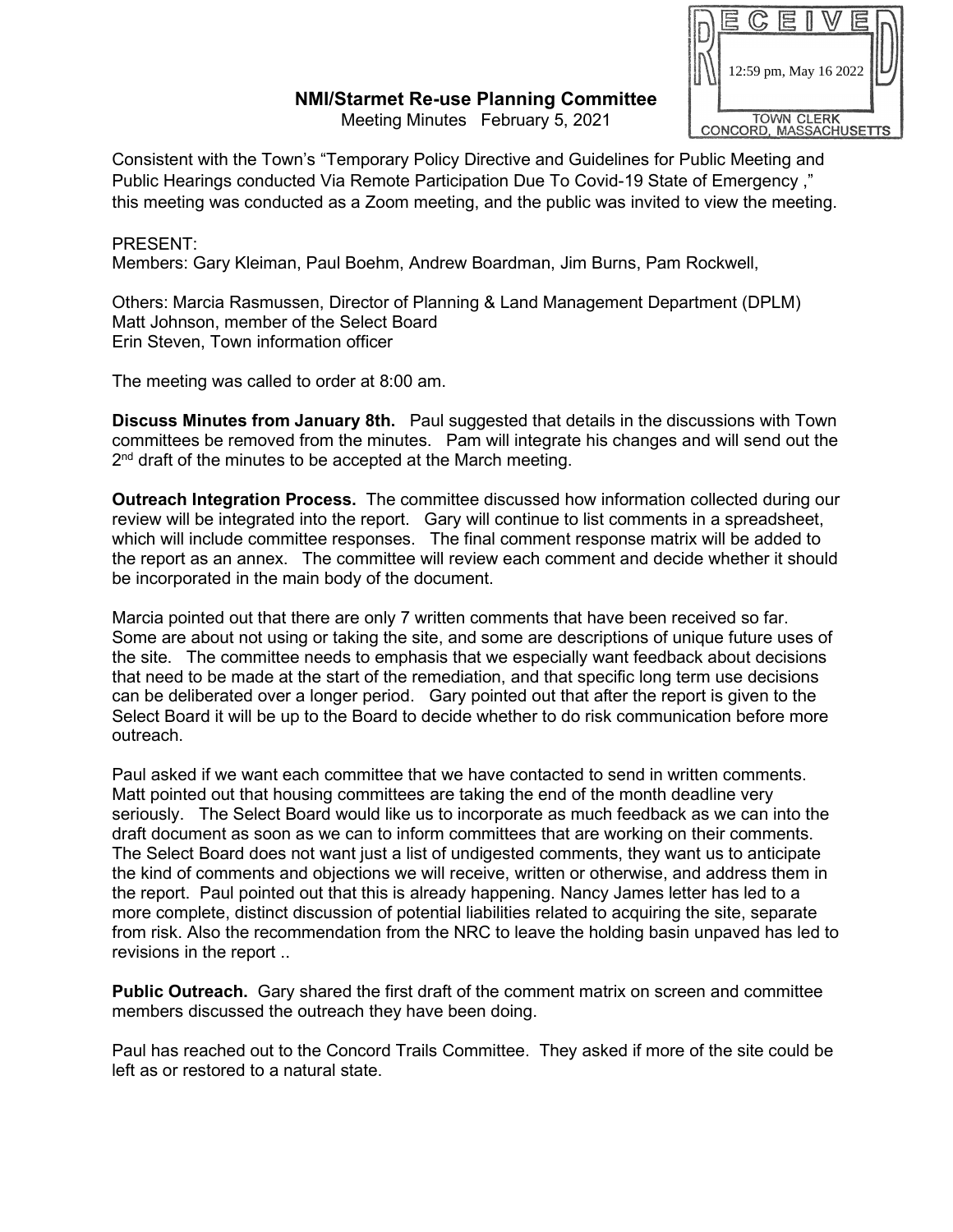## **NMI/Starmet Re-use Planning Committee**

Meeting Minutes February 5, 2021



Consistent with the Town's "Temporary Policy Directive and Guidelines for Public Meeting and Public Hearings conducted Via Remote Participation Due To Covid-19 State of Emergency ," this meeting was conducted as a Zoom meeting, and the public was invited to view the meeting.

## PRESENT:

Members: Gary Kleiman, Paul Boehm, Andrew Boardman, Jim Burns, Pam Rockwell,

Others: Marcia Rasmussen, Director of Planning & Land Management Department (DPLM) Matt Johnson, member of the Select Board Erin Steven, Town information officer

The meeting was called to order at 8:00 am.

**Discuss Minutes from January 8th.** Paul suggested that details in the discussions with Town committees be removed from the minutes. Pam will integrate his changes and will send out the 2<sup>nd</sup> draft of the minutes to be accepted at the March meeting.

**Outreach Integration Process.** The committee discussed how information collected during our review will be integrated into the report. Gary will continue to list comments in a spreadsheet, which will include committee responses. The final comment response matrix will be added to the report as an annex. The committee will review each comment and decide whether it should be incorporated in the main body of the document.

Marcia pointed out that there are only 7 written comments that have been received so far. Some are about not using or taking the site, and some are descriptions of unique future uses of the site. The committee needs to emphasis that we especially want feedback about decisions that need to be made at the start of the remediation, and that specific long term use decisions can be deliberated over a longer period. Gary pointed out that after the report is given to the Select Board it will be up to the Board to decide whether to do risk communication before more outreach.

Paul asked if we want each committee that we have contacted to send in written comments. Matt pointed out that housing committees are taking the end of the month deadline very seriously. The Select Board would like us to incorporate as much feedback as we can into the draft document as soon as we can to inform committees that are working on their comments. The Select Board does not want just a list of undigested comments, they want us to anticipate the kind of comments and objections we will receive, written or otherwise, and address them in the report. Paul pointed out that this is already happening. Nancy James letter has led to a more complete, distinct discussion of potential liabilities related to acquiring the site, separate from risk. Also the recommendation from the NRC to leave the holding basin unpaved has led to revisions in the report ..

**Public Outreach.** Gary shared the first draft of the comment matrix on screen and committee members discussed the outreach they have been doing.

Paul has reached out to the Concord Trails Committee. They asked if more of the site could be left as or restored to a natural state.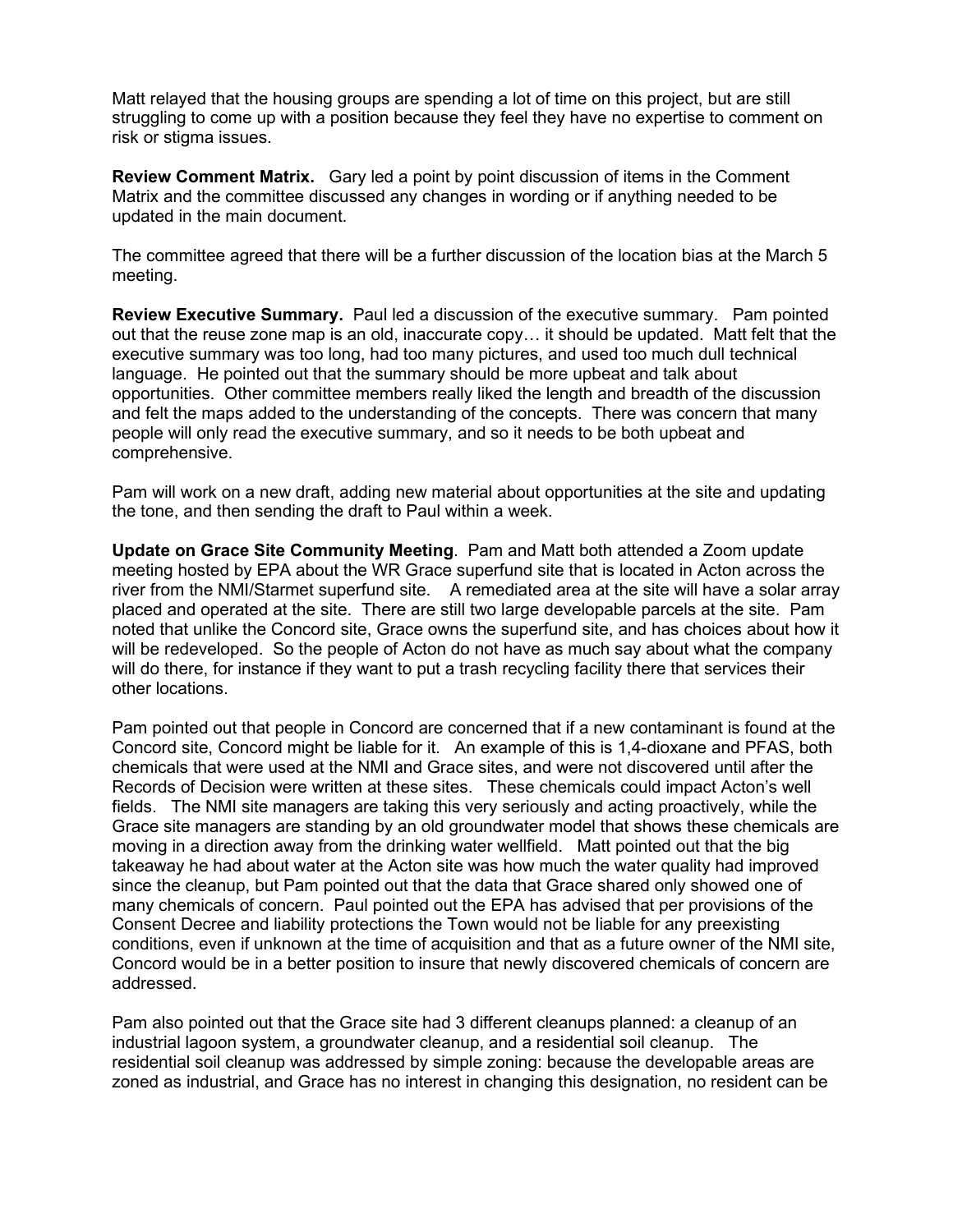Matt relayed that the housing groups are spending a lot of time on this project, but are still struggling to come up with a position because they feel they have no expertise to comment on risk or stigma issues.

**Review Comment Matrix.** Gary led a point by point discussion of items in the Comment Matrix and the committee discussed any changes in wording or if anything needed to be updated in the main document.

The committee agreed that there will be a further discussion of the location bias at the March 5 meeting.

**Review Executive Summary.** Paul led a discussion of the executive summary. Pam pointed out that the reuse zone map is an old, inaccurate copy… it should be updated. Matt felt that the executive summary was too long, had too many pictures, and used too much dull technical language. He pointed out that the summary should be more upbeat and talk about opportunities. Other committee members really liked the length and breadth of the discussion and felt the maps added to the understanding of the concepts. There was concern that many people will only read the executive summary, and so it needs to be both upbeat and comprehensive.

Pam will work on a new draft, adding new material about opportunities at the site and updating the tone, and then sending the draft to Paul within a week.

**Update on Grace Site Community Meeting**. Pam and Matt both attended a Zoom update meeting hosted by EPA about the WR Grace superfund site that is located in Acton across the river from the NMI/Starmet superfund site. A remediated area at the site will have a solar array placed and operated at the site. There are still two large developable parcels at the site. Pam noted that unlike the Concord site, Grace owns the superfund site, and has choices about how it will be redeveloped. So the people of Acton do not have as much say about what the company will do there, for instance if they want to put a trash recycling facility there that services their other locations.

Pam pointed out that people in Concord are concerned that if a new contaminant is found at the Concord site, Concord might be liable for it. An example of this is 1,4-dioxane and PFAS, both chemicals that were used at the NMI and Grace sites, and were not discovered until after the Records of Decision were written at these sites. These chemicals could impact Acton's well fields. The NMI site managers are taking this very seriously and acting proactively, while the Grace site managers are standing by an old groundwater model that shows these chemicals are moving in a direction away from the drinking water wellfield. Matt pointed out that the big takeaway he had about water at the Acton site was how much the water quality had improved since the cleanup, but Pam pointed out that the data that Grace shared only showed one of many chemicals of concern. Paul pointed out the EPA has advised that per provisions of the Consent Decree and liability protections the Town would not be liable for any preexisting conditions, even if unknown at the time of acquisition and that as a future owner of the NMI site, Concord would be in a better position to insure that newly discovered chemicals of concern are addressed.

Pam also pointed out that the Grace site had 3 different cleanups planned: a cleanup of an industrial lagoon system, a groundwater cleanup, and a residential soil cleanup. The residential soil cleanup was addressed by simple zoning: because the developable areas are zoned as industrial, and Grace has no interest in changing this designation, no resident can be